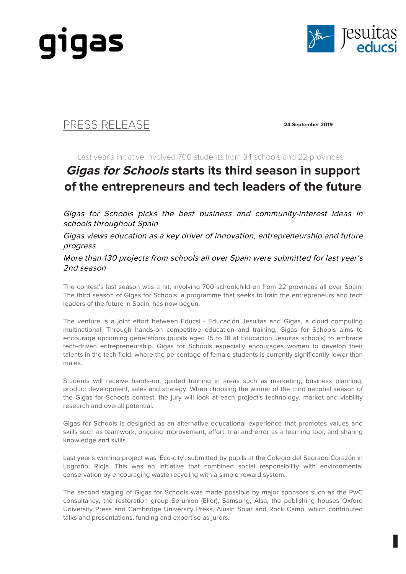



## PRESS RELEASE **24 September 2019**

Last year's initiative involved 700 students from 34 schools and 22 provinces

## **Gigas for Schools starts its third season in support of the entrepreneurs and tech leaders of the future**

Gigas for Schools picks the best business and community-interest ideas in schools throughout Spain

Gigas views education as a key driver of innovation, entrepreneurship and future progress

More than 130 projects from schools all over Spain were submitted for last year's 2nd season

The contest's last season was a hit, involving 700 schoolchildren from 22 provinces all over Spain. The third season of Gigas for Schools, a programme that seeks to train the entrepreneurs and tech leaders of the future in Spain, has now begun.

The venture is a joint effort between Educsi - Educación Jesuitas and Gigas, a cloud computing multinational. Through hands-on competitive education and training, Gigas for Schools aims to encourage upcoming generations (pupils aged 15 to 18 at Educación Jesuitas schools) to embrace tech-driven entrepreneurship. Gigas for Schools especially encourages women to develop their talents in the tech field, where the percentage of female students is currently significantly lower than males.

Students will receive hands-on, guided training in areas such as marketing, business planning, product development, sales and strategy. When choosing the winner of the third national season of the Gigas for Schools contest, the jury will look at each project's technology, market and viability research and overall potential.

Gigas for Schools is designed as an alternative educational experience that promotes values and skills such as teamwork, ongoing improvement, effort, trial and error as a learning tool, and sharing knowledge and skills.

Last year's winning project was 'Eco-city', submitted by pupils at the Colegio del Sagrado Corazón in Logroño, Rioja. This was an initiative that combined social responsibility with environmental conservation by encouraging waste recycling with a simple reward system.

The second staging of Gigas for Schools was made possible by major sponsors such as the PwC consultancy, the restoration group Serunion (Elior), Samsung, Alsa, the publishing houses Oxford University Press and Cambridge University Press, Alusin Solar and Rock Camp, which contributed talks and presentations, funding and expertise as jurors.